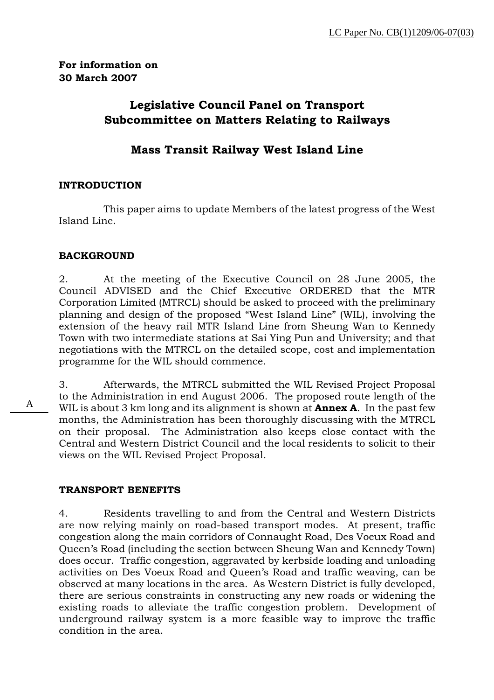**For information on 30 March 2007** 

# **Legislative Council Panel on Transport Subcommittee on Matters Relating to Railways**

# **Mass Transit Railway West Island Line**

# **INTRODUCTION**

 This paper aims to update Members of the latest progress of the West Island Line.

# **BACKGROUND**

2. At the meeting of the Executive Council on 28 June 2005, the Council ADVISED and the Chief Executive ORDERED that the MTR Corporation Limited (MTRCL) should be asked to proceed with the preliminary planning and design of the proposed "West Island Line" (WIL), involving the extension of the heavy rail MTR Island Line from Sheung Wan to Kennedy Town with two intermediate stations at Sai Ying Pun and University; and that negotiations with the MTRCL on the detailed scope, cost and implementation programme for the WIL should commence.

3. Afterwards, the MTRCL submitted the WIL Revised Project Proposal to the Administration in end August 2006. The proposed route length of the WIL is about 3 km long and its alignment is shown at **Annex A**. In the past few months, the Administration has been thoroughly discussing with the MTRCL on their proposal. The Administration also keeps close contact with the Central and Western District Council and the local residents to solicit to their views on the WIL Revised Project Proposal.

#### **TRANSPORT BENEFITS**

4. Residents travelling to and from the Central and Western Districts are now relying mainly on road-based transport modes. At present, traffic congestion along the main corridors of Connaught Road, Des Voeux Road and Queen's Road (including the section between Sheung Wan and Kennedy Town) does occur. Traffic congestion, aggravated by kerbside loading and unloading activities on Des Voeux Road and Queen's Road and traffic weaving, can be observed at many locations in the area. As Western District is fully developed, there are serious constraints in constructing any new roads or widening the existing roads to alleviate the traffic congestion problem. Development of underground railway system is a more feasible way to improve the traffic condition in the area.

A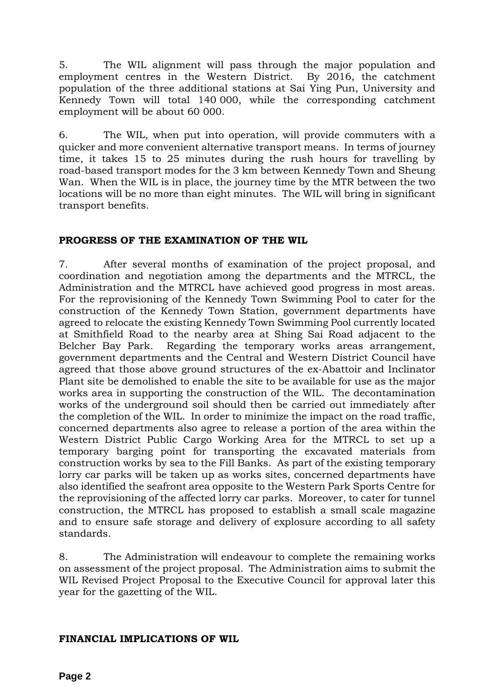5. The WIL alignment will pass through the major population and employment centres in the Western District. By 2016, the catchment population of the three additional stations at Sai Ying Pun, University and Kennedy Town will total 140 000, while the corresponding catchment employment will be about 60 000.

6. The WIL, when put into operation, will provide commuters with a quicker and more convenient alternative transport means. In terms of journey time, it takes 15 to 25 minutes during the rush hours for travelling by road-based transport modes for the 3 km between Kennedy Town and Sheung Wan. When the WIL is in place, the journey time by the MTR between the two locations will be no more than eight minutes. The WIL will bring in significant transport benefits.

# **PROGRESS OF THE EXAMINATION OF THE WIL**

7. After several months of examination of the project proposal, and coordination and negotiation among the departments and the MTRCL, the Administration and the MTRCL have achieved good progress in most areas. For the reprovisioning of the Kennedy Town Swimming Pool to cater for the construction of the Kennedy Town Station, government departments have agreed to relocate the existing Kennedy Town Swimming Pool currently located at Smithfield Road to the nearby area at Shing Sai Road adjacent to the Belcher Bay Park. Regarding the temporary works areas arrangement, government departments and the Central and Western District Council have agreed that those above ground structures of the ex-Abattoir and Inclinator Plant site be demolished to enable the site to be available for use as the major works area in supporting the construction of the WIL. The decontamination works of the underground soil should then be carried out immediately after the completion of the WIL. In order to minimize the impact on the road traffic, concerned departments also agree to release a portion of the area within the Western District Public Cargo Working Area for the MTRCL to set up a temporary barging point for transporting the excavated materials from construction works by sea to the Fill Banks. As part of the existing temporary lorry car parks will be taken up as works sites, concerned departments have also identified the seafront area opposite to the Western Park Sports Centre for the reprovisioning of the affected lorry car parks. Moreover, to cater for tunnel construction, the MTRCL has proposed to establish a small scale magazine and to ensure safe storage and delivery of explosure according to all safety standards.

8. The Administration will endeavour to complete the remaining works on assessment of the project proposal. The Administration aims to submit the WIL Revised Project Proposal to the Executive Council for approval later this year for the gazetting of the WIL.

# **FINANCIAL IMPLICATIONS OF WIL**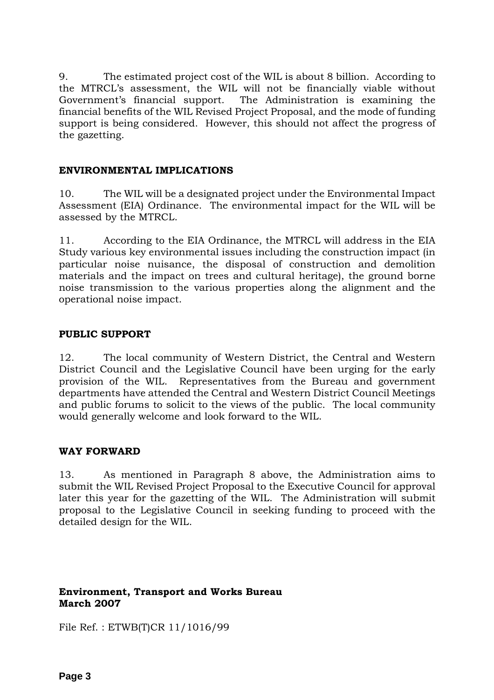9. The estimated project cost of the WIL is about 8 billion. According to the MTRCL's assessment, the WIL will not be financially viable without Government's financial support. The Administration is examining the financial benefits of the WIL Revised Project Proposal, and the mode of funding support is being considered. However, this should not affect the progress of the gazetting.

# **ENVIRONMENTAL IMPLICATIONS**

10. The WIL will be a designated project under the Environmental Impact Assessment (EIA) Ordinance. The environmental impact for the WIL will be assessed by the MTRCL.

11. According to the EIA Ordinance, the MTRCL will address in the EIA Study various key environmental issues including the construction impact (in particular noise nuisance, the disposal of construction and demolition materials and the impact on trees and cultural heritage), the ground borne noise transmission to the various properties along the alignment and the operational noise impact.

# **PUBLIC SUPPORT**

12. The local community of Western District, the Central and Western District Council and the Legislative Council have been urging for the early provision of the WIL. Representatives from the Bureau and government departments have attended the Central and Western District Council Meetings and public forums to solicit to the views of the public. The local community would generally welcome and look forward to the WIL.

#### **WAY FORWARD**

13. As mentioned in Paragraph 8 above, the Administration aims to submit the WIL Revised Project Proposal to the Executive Council for approval later this year for the gazetting of the WIL. The Administration will submit proposal to the Legislative Council in seeking funding to proceed with the detailed design for the WIL.

# **Environment, Transport and Works Bureau March 2007**

File Ref. : ETWB(T)CR 11/1016/99